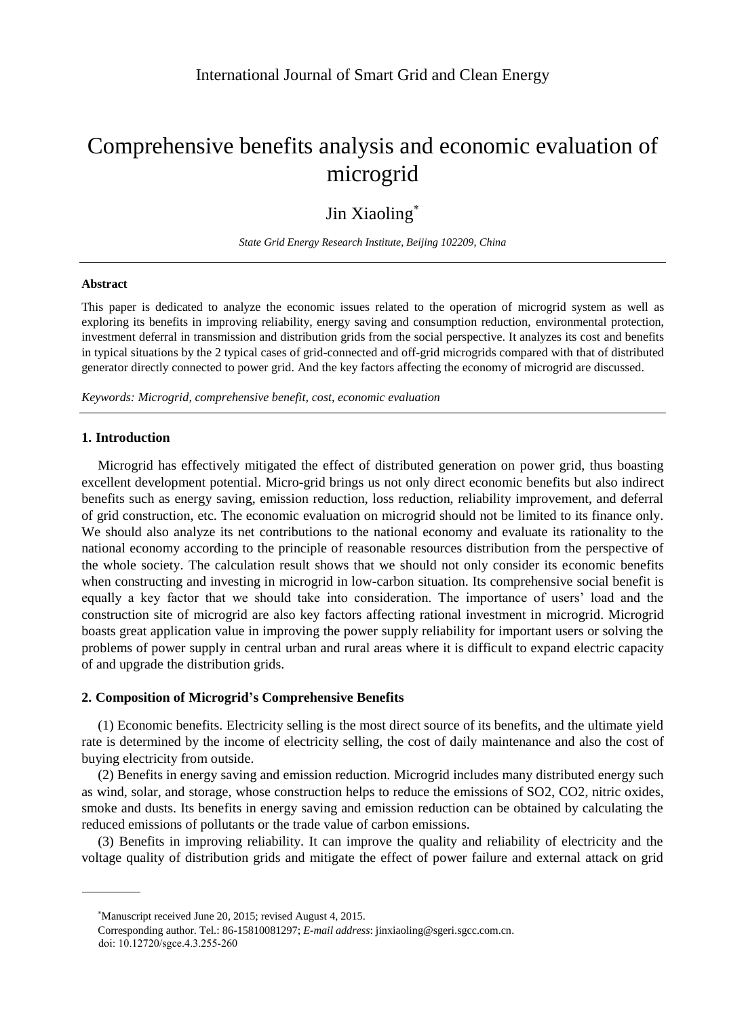# Comprehensive benefits analysis and economic evaluation of microgrid

# Jin Xiaoling<sup>\*</sup>

*State Grid Energy Research Institute, Beijing 102209, China*

# **Abstract**

This paper is dedicated to analyze the economic issues related to the operation of microgrid system as well as exploring its benefits in improving reliability, energy saving and consumption reduction, environmental protection, investment deferral in transmission and distribution grids from the social perspective. It analyzes its cost and benefits in typical situations by the 2 typical cases of grid-connected and off-grid microgrids compared with that of distributed generator directly connected to power grid. And the key factors affecting the economy of microgrid are discussed.

*Keywords: Microgrid, comprehensive benefit, cost, economic evaluation*

# **1. Introduction**

Microgrid has effectively mitigated the effect of distributed generation on power grid, thus boasting excellent development potential. Micro-grid brings us not only direct economic benefits but also indirect benefits such as energy saving, emission reduction, loss reduction, reliability improvement, and deferral of grid construction, etc. The economic evaluation on microgrid should not be limited to its finance only. We should also analyze its net contributions to the national economy and evaluate its rationality to the national economy according to the principle of reasonable resources distribution from the perspective of the whole society. The calculation result shows that we should not only consider its economic benefits when constructing and investing in microgrid in low-carbon situation. Its comprehensive social benefit is equally a key factor that we should take into consideration. The importance of users' load and the construction site of microgrid are also key factors affecting rational investment in microgrid. Microgrid boasts great application value in improving the power supply reliability for important users or solving the problems of power supply in central urban and rural areas where it is difficult to expand electric capacity of and upgrade the distribution grids.

# **2. Composition of Microgrid's Comprehensive Benefits**

(1) Economic benefits. Electricity selling is the most direct source of its benefits, and the ultimate yield rate is determined by the income of electricity selling, the cost of daily maintenance and also the cost of buying electricity from outside.

(2) Benefits in energy saving and emission reduction. Microgrid includes many distributed energy such as wind, solar, and storage, whose construction helps to reduce the emissions of SO2, CO2, nitric oxides, smoke and dusts. Its benefits in energy saving and emission reduction can be obtained by calculating the reduced emissions of pollutants or the trade value of carbon emissions.

(3) Benefits in improving reliability. It can improve the quality and reliability of electricity and the voltage quality of distribution grids and mitigate the effect of power failure and external attack on grid

Manuscript received June 20, 2015; revised August 4, 2015.

Corresponding author. Tel.: 86-15810081297; *E-mail address*: jinxiaoling@sgeri.sgcc.com.cn. doi: 10.12720/sgce.4.3.255-260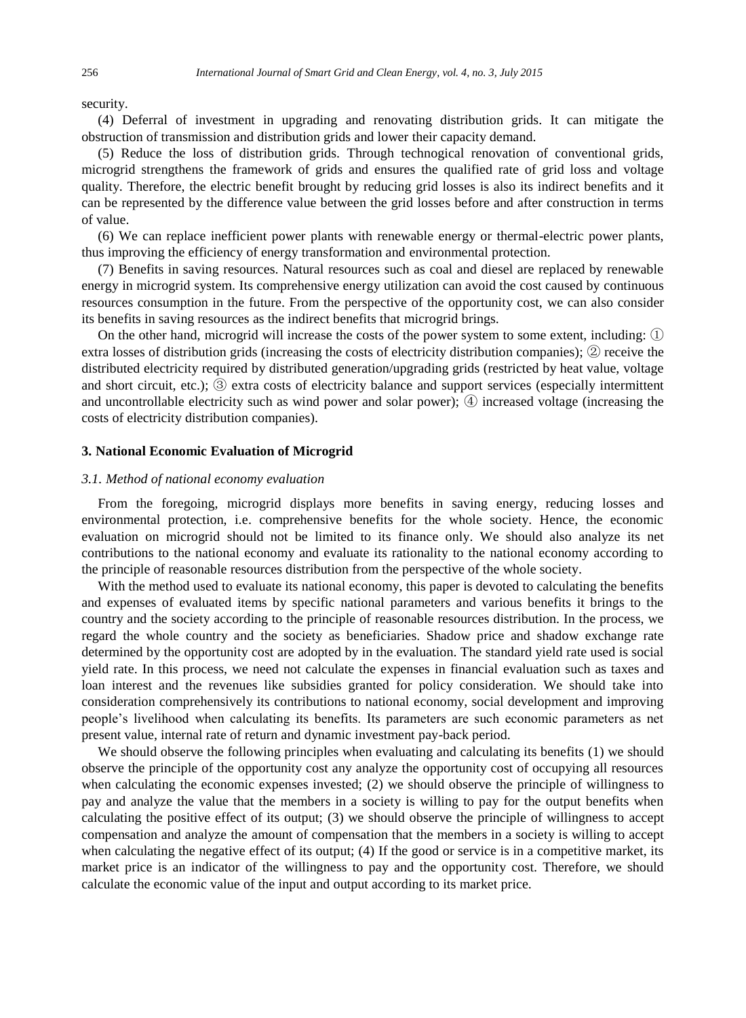security.

(4) Deferral of investment in upgrading and renovating distribution grids. It can mitigate the obstruction of transmission and distribution grids and lower their capacity demand.

(5) Reduce the loss of distribution grids. Through technogical renovation of conventional grids, microgrid strengthens the framework of grids and ensures the qualified rate of grid loss and voltage quality. Therefore, the electric benefit brought by reducing grid losses is also its indirect benefits and it can be represented by the difference value between the grid losses before and after construction in terms of value.

(6) We can replace inefficient power plants with renewable energy or thermal-electric power plants, thus improving the efficiency of energy transformation and environmental protection.

(7) Benefits in saving resources. Natural resources such as coal and diesel are replaced by renewable energy in microgrid system. Its comprehensive energy utilization can avoid the cost caused by continuous resources consumption in the future. From the perspective of the opportunity cost, we can also consider its benefits in saving resources as the indirect benefits that microgrid brings.

On the other hand, microgrid will increase the costs of the power system to some extent, including: ① extra losses of distribution grids (increasing the costs of electricity distribution companies); ② receive the distributed electricity required by distributed generation/upgrading grids (restricted by heat value, voltage and short circuit, etc.); ③ extra costs of electricity balance and support services (especially intermittent and uncontrollable electricity such as wind power and solar power); ④ increased voltage (increasing the costs of electricity distribution companies).

# **3. National Economic Evaluation of Microgrid**

# *3.1. Method of national economy evaluation*

From the foregoing, microgrid displays more benefits in saving energy, reducing losses and environmental protection, i.e. comprehensive benefits for the whole society. Hence, the economic evaluation on microgrid should not be limited to its finance only. We should also analyze its net contributions to the national economy and evaluate its rationality to the national economy according to the principle of reasonable resources distribution from the perspective of the whole society.

With the method used to evaluate its national economy, this paper is devoted to calculating the benefits and expenses of evaluated items by specific national parameters and various benefits it brings to the country and the society according to the principle of reasonable resources distribution. In the process, we regard the whole country and the society as beneficiaries. Shadow price and shadow exchange rate determined by the opportunity cost are adopted by in the evaluation. The standard yield rate used is social yield rate. In this process, we need not calculate the expenses in financial evaluation such as taxes and loan interest and the revenues like subsidies granted for policy consideration. We should take into consideration comprehensively its contributions to national economy, social development and improving people's livelihood when calculating its benefits. Its parameters are such economic parameters as net present value, internal rate of return and dynamic investment pay-back period.

We should observe the following principles when evaluating and calculating its benefits (1) we should observe the principle of the opportunity cost any analyze the opportunity cost of occupying all resources when calculating the economic expenses invested; (2) we should observe the principle of willingness to pay and analyze the value that the members in a society is willing to pay for the output benefits when calculating the positive effect of its output; (3) we should observe the principle of willingness to accept compensation and analyze the amount of compensation that the members in a society is willing to accept when calculating the negative effect of its output; (4) If the good or service is in a competitive market, its market price is an indicator of the willingness to pay and the opportunity cost. Therefore, we should calculate the economic value of the input and output according to its market price.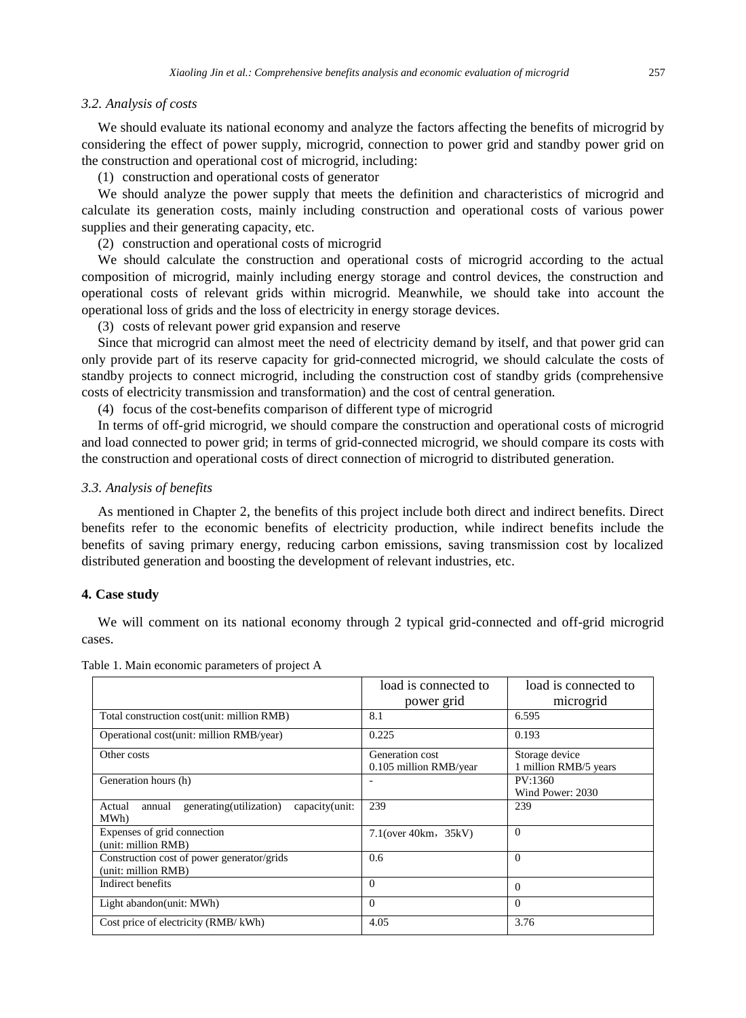#### *3.2. Analysis of costs*

We should evaluate its national economy and analyze the factors affecting the benefits of microgrid by considering the effect of power supply, microgrid, connection to power grid and standby power grid on the construction and operational cost of microgrid, including:

(1) construction and operational costs of generator

We should analyze the power supply that meets the definition and characteristics of microgrid and calculate its generation costs, mainly including construction and operational costs of various power supplies and their generating capacity, etc.

(2) construction and operational costs of microgrid

We should calculate the construction and operational costs of microgrid according to the actual composition of microgrid, mainly including energy storage and control devices, the construction and operational costs of relevant grids within microgrid. Meanwhile, we should take into account the operational loss of grids and the loss of electricity in energy storage devices.

(3) costs of relevant power grid expansion and reserve

Since that microgrid can almost meet the need of electricity demand by itself, and that power grid can only provide part of its reserve capacity for grid-connected microgrid, we should calculate the costs of standby projects to connect microgrid, including the construction cost of standby grids (comprehensive costs of electricity transmission and transformation) and the cost of central generation.

(4) focus of the cost-benefits comparison of different type of microgrid

In terms of off-grid microgrid, we should compare the construction and operational costs of microgrid and load connected to power grid; in terms of grid-connected microgrid, we should compare its costs with the construction and operational costs of direct connection of microgrid to distributed generation.

#### *3.3. Analysis of benefits*

As mentioned in Chapter 2, the benefits of this project include both direct and indirect benefits. Direct benefits refer to the economic benefits of electricity production, while indirect benefits include the benefits of saving primary energy, reducing carbon emissions, saving transmission cost by localized distributed generation and boosting the development of relevant industries, etc.

# **4. Case study**

We will comment on its national economy through 2 typical grid-connected and off-grid microgrid cases.

|                                                                        | load is connected to                      | load is connected to                    |
|------------------------------------------------------------------------|-------------------------------------------|-----------------------------------------|
|                                                                        | power grid                                | microgrid                               |
| Total construction cost(unit: million RMB)                             | 8.1                                       | 6.595                                   |
| Operational cost(unit: million RMB/year)                               | 0.225                                     | 0.193                                   |
| Other costs                                                            | Generation cost<br>0.105 million RMB/year | Storage device<br>1 million RMB/5 years |
| Generation hours (h)                                                   |                                           | PV:1360<br>Wind Power: 2030             |
| generating (utilization)<br>capacity(unit:<br>Actual<br>annual<br>MWh) | 239                                       | 239                                     |
| Expenses of grid connection<br>(unit: million RMB)                     | $7.1$ (over $40km$ , $35kV$ )             | $\Omega$                                |
| Construction cost of power generator/grids<br>(unit: million RMB)      | $0.6^{\circ}$                             | $\Omega$                                |
| Indirect benefits                                                      | $\Omega$                                  | $\Omega$                                |
| Light abandon(unit: MWh)                                               | $\Omega$                                  | $\Omega$                                |
| Cost price of electricity (RMB/kWh)                                    | 4.05                                      | 3.76                                    |

Table 1. Main economic parameters of project A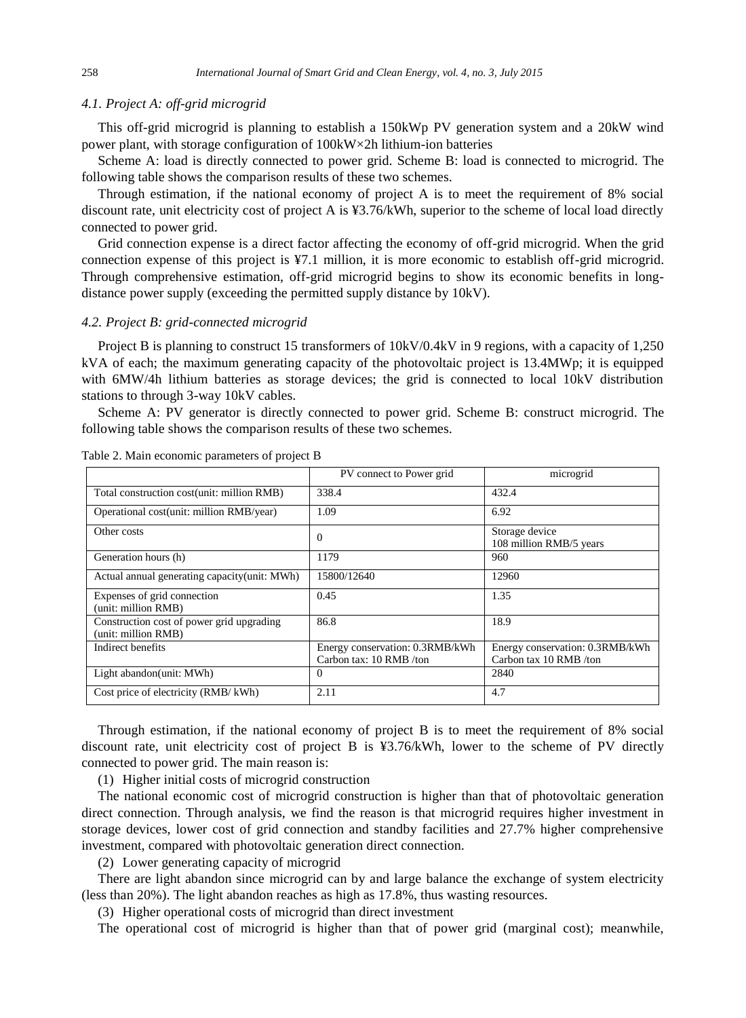## *4.1. Project A: off-grid microgrid*

This off-grid microgrid is planning to establish a 150kWp PV generation system and a 20kW wind power plant, with storage configuration of  $100$ kW $\times$ 2h lithium-ion batteries

Scheme A: load is directly connected to power grid. Scheme B: load is connected to microgrid. The following table shows the comparison results of these two schemes.

Through estimation, if the national economy of project A is to meet the requirement of 8% social discount rate, unit electricity cost of project A is ¥3.76/kWh, superior to the scheme of local load directly connected to power grid.

Grid connection expense is a direct factor affecting the economy of off-grid microgrid. When the grid connection expense of this project is ¥7.1 million, it is more economic to establish off-grid microgrid. Through comprehensive estimation, off-grid microgrid begins to show its economic benefits in longdistance power supply (exceeding the permitted supply distance by 10kV).

## *4.2. Project B: grid-connected microgrid*

Project B is planning to construct 15 transformers of 10kV/0.4kV in 9 regions, with a capacity of 1,250 kVA of each; the maximum generating capacity of the photovoltaic project is 13.4MWp; it is equipped with 6MW/4h lithium batteries as storage devices; the grid is connected to local 10kV distribution stations to through 3-way 10kV cables.

Scheme A: PV generator is directly connected to power grid. Scheme B: construct microgrid. The following table shows the comparison results of these two schemes.

|                                                                  | PV connect to Power grid                                   | microgrid                                                 |
|------------------------------------------------------------------|------------------------------------------------------------|-----------------------------------------------------------|
| Total construction cost(unit: million RMB)                       | 338.4                                                      | 432.4                                                     |
| Operational cost(unit: million RMB/year)                         | 1.09                                                       | 6.92                                                      |
| Other costs                                                      | $\Omega$                                                   | Storage device<br>108 million RMB/5 years                 |
| Generation hours (h)                                             | 1179                                                       | 960                                                       |
| Actual annual generating capacity(unit: MWh)                     | 15800/12640                                                | 12960                                                     |
| Expenses of grid connection<br>(unit: million RMB)               | 0.45                                                       | 1.35                                                      |
| Construction cost of power grid upgrading<br>(unit: million RMB) | 86.8                                                       | 18.9                                                      |
| Indirect benefits                                                | Energy conservation: 0.3RMB/kWh<br>Carbon tax: 10 RMB /ton | Energy conservation: 0.3RMB/kWh<br>Carbon tax 10 RMB /ton |
| Light abandon(unit: MWh)                                         | $\mathbf{0}$                                               | 2840                                                      |
| Cost price of electricity (RMB/kWh)                              | 2.11                                                       | 4.7                                                       |

Table 2. Main economic parameters of project B

Through estimation, if the national economy of project B is to meet the requirement of 8% social discount rate, unit electricity cost of project B is ¥3.76/kWh, lower to the scheme of PV directly connected to power grid. The main reason is:

(1) Higher initial costs of microgrid construction

The national economic cost of microgrid construction is higher than that of photovoltaic generation direct connection. Through analysis, we find the reason is that microgrid requires higher investment in storage devices, lower cost of grid connection and standby facilities and 27.7% higher comprehensive investment, compared with photovoltaic generation direct connection.

(2) Lower generating capacity of microgrid

There are light abandon since microgrid can by and large balance the exchange of system electricity (less than 20%). The light abandon reaches as high as 17.8%, thus wasting resources.

(3) Higher operational costs of microgrid than direct investment

The operational cost of microgrid is higher than that of power grid (marginal cost); meanwhile,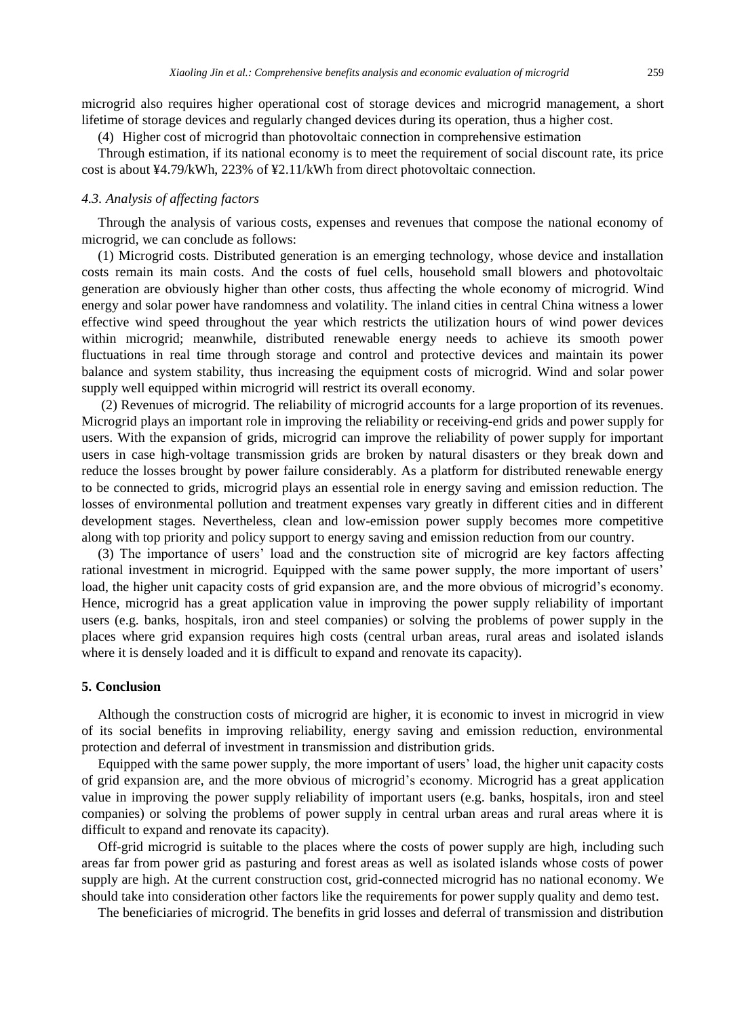microgrid also requires higher operational cost of storage devices and microgrid management, a short lifetime of storage devices and regularly changed devices during its operation, thus a higher cost.

(4) Higher cost of microgrid than photovoltaic connection in comprehensive estimation

Through estimation, if its national economy is to meet the requirement of social discount rate, its price cost is about ¥4.79/kWh, 223% of ¥2.11/kWh from direct photovoltaic connection.

#### *4.3. Analysis of affecting factors*

Through the analysis of various costs, expenses and revenues that compose the national economy of microgrid, we can conclude as follows:

(1) Microgrid costs. Distributed generation is an emerging technology, whose device and installation costs remain its main costs. And the costs of fuel cells, household small blowers and photovoltaic generation are obviously higher than other costs, thus affecting the whole economy of microgrid. Wind energy and solar power have randomness and volatility. The inland cities in central China witness a lower effective wind speed throughout the year which restricts the utilization hours of wind power devices within microgrid; meanwhile, distributed renewable energy needs to achieve its smooth power fluctuations in real time through storage and control and protective devices and maintain its power balance and system stability, thus increasing the equipment costs of microgrid. Wind and solar power supply well equipped within microgrid will restrict its overall economy.

(2) Revenues of microgrid. The reliability of microgrid accounts for a large proportion of its revenues. Microgrid plays an important role in improving the reliability or receiving-end grids and power supply for users. With the expansion of grids, microgrid can improve the reliability of power supply for important users in case high-voltage transmission grids are broken by natural disasters or they break down and reduce the losses brought by power failure considerably. As a platform for distributed renewable energy to be connected to grids, microgrid plays an essential role in energy saving and emission reduction. The losses of environmental pollution and treatment expenses vary greatly in different cities and in different development stages. Nevertheless, clean and low-emission power supply becomes more competitive along with top priority and policy support to energy saving and emission reduction from our country.

(3) The importance of users' load and the construction site of microgrid are key factors affecting rational investment in microgrid. Equipped with the same power supply, the more important of users' load, the higher unit capacity costs of grid expansion are, and the more obvious of microgrid's economy. Hence, microgrid has a great application value in improving the power supply reliability of important users (e.g. banks, hospitals, iron and steel companies) or solving the problems of power supply in the places where grid expansion requires high costs (central urban areas, rural areas and isolated islands where it is densely loaded and it is difficult to expand and renovate its capacity).

# **5. Conclusion**

Although the construction costs of microgrid are higher, it is economic to invest in microgrid in view of its social benefits in improving reliability, energy saving and emission reduction, environmental protection and deferral of investment in transmission and distribution grids.

Equipped with the same power supply, the more important of users' load, the higher unit capacity costs of grid expansion are, and the more obvious of microgrid's economy. Microgrid has a great application value in improving the power supply reliability of important users (e.g. banks, hospitals, iron and steel companies) or solving the problems of power supply in central urban areas and rural areas where it is difficult to expand and renovate its capacity).

Off-grid microgrid is suitable to the places where the costs of power supply are high, including such areas far from power grid as pasturing and forest areas as well as isolated islands whose costs of power supply are high. At the current construction cost, grid-connected microgrid has no national economy. We should take into consideration other factors like the requirements for power supply quality and demo test.

The beneficiaries of microgrid. The benefits in grid losses and deferral of transmission and distribution